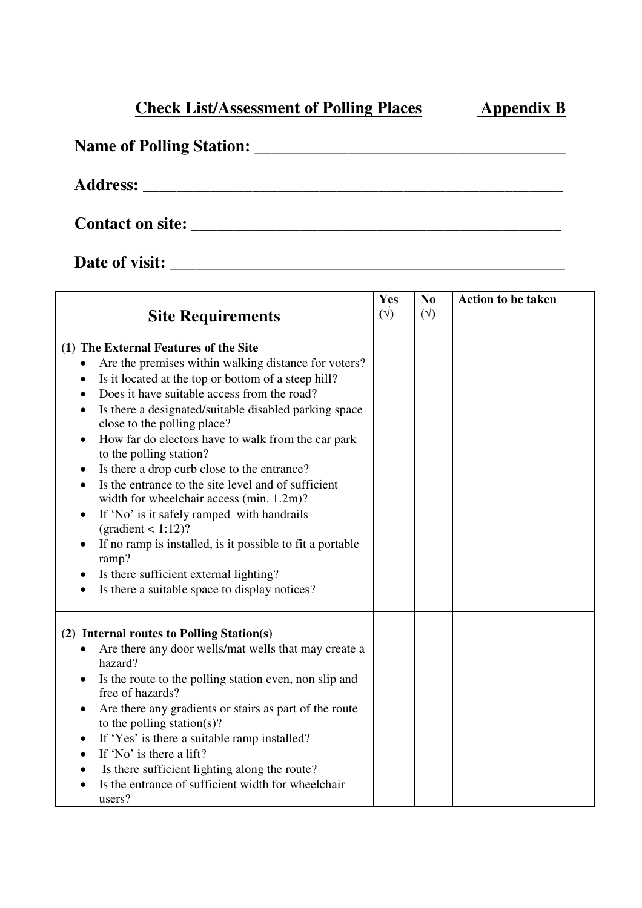## **Check List/Assessment of Polling Places Appendix B**

## **Name of Polling Station:** \_\_\_\_\_\_\_\_\_\_\_\_\_\_\_\_\_\_\_\_\_\_\_\_\_\_\_\_\_\_\_\_\_\_\_\_\_

**Address:** \_\_\_\_\_\_\_\_\_\_\_\_\_\_\_\_\_\_\_\_\_\_\_\_\_\_\_\_\_\_\_\_\_\_\_\_\_\_\_\_\_\_\_\_\_\_\_\_\_\_

**Contact on site:** \_\_\_\_\_\_\_\_\_\_\_\_\_\_\_\_\_\_\_\_\_\_\_\_\_\_\_\_\_\_\_\_\_\_\_\_\_\_\_\_\_\_\_\_

**Date of visit:** \_\_\_\_\_\_\_\_\_\_\_\_\_\_\_\_\_\_\_\_\_\_\_\_\_\_\_\_\_\_\_\_\_\_\_\_\_\_\_\_\_\_\_\_\_\_\_

| <b>Site Requirements</b>                                                                                                                                                                                                                                                                                                                                                                                                                                                                                                                                                                                                                                                                                                                                                                   | Yes<br>$(\sqrt{2})$ | N <sub>0</sub><br>$(\forall)$ | <b>Action to be taken</b> |
|--------------------------------------------------------------------------------------------------------------------------------------------------------------------------------------------------------------------------------------------------------------------------------------------------------------------------------------------------------------------------------------------------------------------------------------------------------------------------------------------------------------------------------------------------------------------------------------------------------------------------------------------------------------------------------------------------------------------------------------------------------------------------------------------|---------------------|-------------------------------|---------------------------|
|                                                                                                                                                                                                                                                                                                                                                                                                                                                                                                                                                                                                                                                                                                                                                                                            |                     |                               |                           |
| (1) The External Features of the Site<br>Are the premises within walking distance for voters?<br>Is it located at the top or bottom of a steep hill?<br>Does it have suitable access from the road?<br>Is there a designated/suitable disabled parking space<br>close to the polling place?<br>How far do electors have to walk from the car park<br>to the polling station?<br>Is there a drop curb close to the entrance?<br>Is the entrance to the site level and of sufficient<br>width for wheelchair access (min. 1.2m)?<br>If 'No' is it safely ramped with handrails<br>$\text{(gradient} < 1:12)$ ?<br>If no ramp is installed, is it possible to fit a portable<br>ramp?<br>Is there sufficient external lighting?<br>Is there a suitable space to display notices?<br>$\bullet$ |                     |                               |                           |
| (2) Internal routes to Polling Station(s)<br>Are there any door wells/mat wells that may create a<br>hazard?<br>Is the route to the polling station even, non slip and<br>free of hazards?<br>Are there any gradients or stairs as part of the route<br>to the polling station(s)?<br>If 'Yes' is there a suitable ramp installed?<br>$\bullet$<br>If 'No' is there a lift?<br>Is there sufficient lighting along the route?<br>Is the entrance of sufficient width for wheelchair<br>users?                                                                                                                                                                                                                                                                                               |                     |                               |                           |